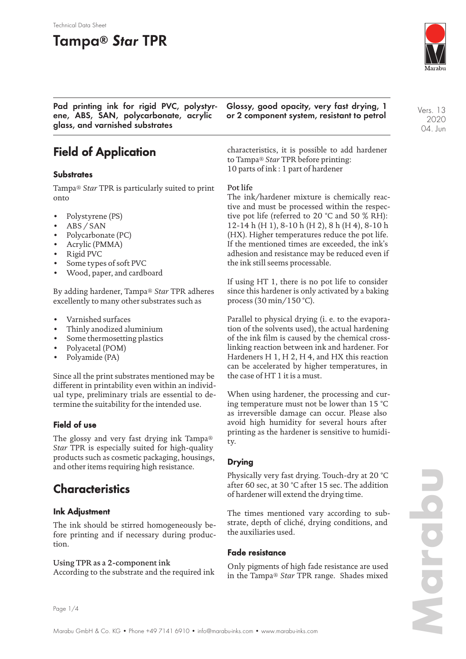#### Technical Data Sheet

## **Tampa® Star TPR**



**Pad printing ink for rigid PVC, polystyrene, ABS, SAN, polycarbonate, acrylic glass, and varnished substrates**

**Glossy, good opacity, very fast drying, 1 or 2 component system, resistant to petrol**

## **Field of Application**

#### **Substrates**

Tampa® *Star* TPR is particularly suited to print onto

- Polystyrene (PS)
- ABS / SAN
- Polycarbonate (PC)
- Acrylic (PMMA)
- Rigid PVC
- Some types of soft PVC
- Wood, paper, and cardboard

By adding hardener, Tampa® *Star* TPR adheres excellently to many other substrates such as

- Varnished surfaces
- Thinly anodized aluminium
- Some thermosetting plastics
- Polyacetal (POM)
- Polyamide (PA)

Since all the print substrates mentioned may be different in printability even within an individual type, preliminary trials are essential to determine the suitability for the intended use.

### **Field of use**

The glossy and very fast drying ink Tampa® *Star* TPR is especially suited for high-quality products such as cosmetic packaging, housings, and other items requiring high resistance.

### **Characteristics**

#### **Ink Adjustment**

The ink should be stirred homogeneously before printing and if necessary during production.

#### Using TPR as a 2-component ink

According to the substrate and the required ink

characteristics, it is possible to add hardener to Tampa® *Star* TPR before printing: 10 parts of ink : 1 part of hardener

#### Pot life

The ink/hardener mixture is chemically reactive and must be processed within the respective pot life (referred to 20 °C and 50 % RH): 12-14 h (H 1), 8-10 h (H 2), 8 h (H 4), 8-10 h (HX). Higher temperatures reduce the pot life. If the mentioned times are exceeded, the ink's adhesion and resistance may be reduced even if the ink still seems processable.

If using HT 1, there is no pot life to consider since this hardener is only activated by a baking process (30 min/150 °C).

Parallel to physical drying (i. e. to the evaporation of the solvents used), the actual hardening of the ink film is caused by the chemical crosslinking reaction between ink and hardener. For Hardeners H 1, H 2, H 4, and HX this reaction can be accelerated by higher temperatures, in the case of HT 1 it is a must.

When using hardener, the processing and curing temperature must not be lower than 15 °C as irreversible damage can occur. Please also avoid high humidity for several hours after printing as the hardener is sensitive to humidity.

### **Drying**

Physically very fast drying. Touch-dry at 20 °C after 60 sec, at 30 °C after 15 sec. The addition of hardener will extend the drying time.

The times mentioned vary according to substrate, depth of cliché, drying conditions, and the auxiliaries used.

#### **Fade resistance**

Only pigments of high fade resistance are used in the Tampa® *Star* TPR range. Shades mixed Vers. 13 2020 04. Jun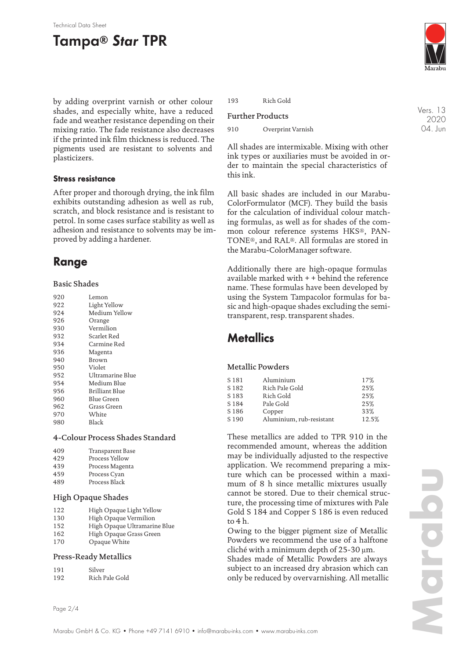#### Technical Data Sheet

# **Tampa® Star TPR**

by adding overprint varnish or other colour shades, and especially white, have a reduced fade and weather resistance depending on their mixing ratio. The fade resistance also decreases if the printed ink film thickness is reduced. The pigments used are resistant to solvents and plasticizers.

### **Stress resistance**

After proper and thorough drying, the ink film exhibits outstanding adhesion as well as rub, scratch, and block resistance and is resistant to petrol. In some cases surface stability as well as adhesion and resistance to solvents may be improved by adding a hardener.

### **Range**

#### Basic Shades

| 920 | Lemon            |
|-----|------------------|
| 922 | Light Yellow     |
| 924 | Medium Yellow    |
| 926 | Orange           |
| 930 | Vermilion        |
| 932 | Scarlet Red      |
| 934 | Carmine Red      |
| 936 | Magenta          |
| 940 | Brown            |
| 950 | Violet           |
| 952 | Ultramarine Blue |
| 954 | Medium Blue      |
| 956 | Brilliant Blue   |
| 960 | Blue Green       |
| 962 | Grass Green      |
| 970 | White            |
| 980 | Black            |
|     |                  |

#### 4-Colour Process Shades Standard

| 409 | Transparent Base |
|-----|------------------|
| 429 | Process Yellow   |
| 439 | Process Magenta  |
| 459 | Process Cyan     |
| 489 | Process Black    |

#### High Opaque Shades

| 122 | High Opaque Light Yellow |  |
|-----|--------------------------|--|
| --- |                          |  |

- 130 High Opaque Vermilion<br>152 High Opaque Ultramarii High Opaque Ultramarine Blue
- 162 High Opaque Grass Green
- 170 Opaque White

#### Press-Ready Metallics

| 191 | Silver         |
|-----|----------------|
| 192 | Rich Pale Gold |



Vers. 13 2020 04. Jun

193 Rich Gold

#### Further Products

910 Overprint Varnish

All shades are intermixable. Mixing with other ink types or auxiliaries must be avoided in order to maintain the special characteristics of this ink.

All basic shades are included in our Marabu-ColorFormulator (MCF). They build the basis for the calculation of individual colour matching formulas, as well as for shades of the common colour reference systems HKS®, PAN-TONE®, and RAL®. All formulas are stored in the Marabu-ColorManager software.

Additionally there are high-opaque formulas available marked with + + behind the reference name. These formulas have been developed by using the System Tampacolor formulas for basic and high-opaque shades excluding the semitransparent, resp. transparent shades.

### **Metallics**

#### Metallic Powders

| S 181            | Aluminium                | 17%   |
|------------------|--------------------------|-------|
| S <sub>182</sub> | Rich Pale Gold           | 25%   |
| S <sub>183</sub> | Rich Gold                | 25%   |
| S <sub>184</sub> | Pale Gold                | 25%   |
| S <sub>186</sub> | Copper                   | 33%   |
| S <sub>190</sub> | Aluminium, rub-resistant | 12.5% |

These metallics are added to TPR 910 in the recommended amount, whereas the addition may be individually adjusted to the respective application. We recommend preparing a mixture which can be processed within a maximum of 8 h since metallic mixtures usually cannot be stored. Due to their chemical structure, the processing time of mixtures with Pale Gold S 184 and Copper S 186 is even reduced to 4 h.

Owing to the bigger pigment size of Metallic Powders we recommend the use of a halftone cliché with a minimum depth of 25-30 µm. Shades made of Metallic Powders are always subject to an increased dry abrasion which can only be reduced by overvarnishing. All metallic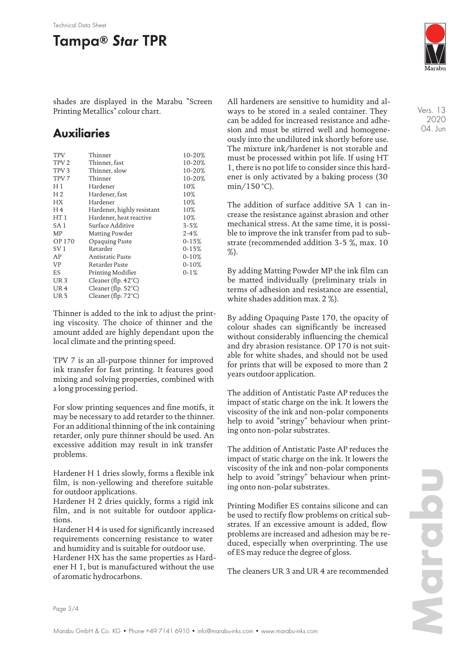# **Tampa® Star TPR**

shades are displayed in the Marabu "Screen Printing Metallics" colour chart.

## **Auxiliaries**

| <b>TPV</b>       | Thinner                       | 10-20%    |
|------------------|-------------------------------|-----------|
| TPV <sub>2</sub> | Thinner, fast                 | 10-20%    |
| TPV <sub>3</sub> | Thinner, slow                 | 10-20%    |
| TPV <sub>7</sub> | Thinner                       | 10-20%    |
| H1               | Hardener                      | 10%       |
| H <sub>2</sub>   | Hardener, fast                | 10%       |
| <b>HX</b>        | Hardener                      | 10%       |
| H <sub>4</sub>   | Hardener, highly resistant    | 10%       |
| HT1              | Hardener, heat reactive       | 10%       |
| SA 1             | Surface Additive              | $3 - 5%$  |
| MP               | Matting Powder                | $2 - 4%$  |
| <b>OP170</b>     | Opaquing Paste                | $0 - 15%$ |
| SV <sub>1</sub>  | Retarder                      | $0 - 15%$ |
| AP               | Antistatic Paste              | $0 - 10%$ |
| <b>VP</b>        | Retarder Paste                | $0 - 10%$ |
| ES               | Printing Modifier             | $0-1%$    |
| UR <sub>3</sub>  | Cleaner (flp. $42^{\circ}$ C) |           |
| UR <sub>4</sub>  | Cleaner (flp. $52^{\circ}$ C) |           |
| UR <sub>5</sub>  | Cleaner (flp. $72^{\circ}$ C) |           |
|                  |                               |           |

Thinner is added to the ink to adjust the printing viscosity. The choice of thinner and the amount added are highly dependant upon the local climate and the printing speed.

TPV 7 is an all-purpose thinner for improved ink transfer for fast printing. It features good mixing and solving properties, combined with a long processing period.

For slow printing sequences and fine motifs, it may be necessary to add retarder to the thinner. For an additional thinning of the ink containing retarder, only pure thinner should be used. An excessive addition may result in ink transfer problems.

Hardener H 1 dries slowly, forms a flexible ink film, is non-yellowing and therefore suitable for outdoor applications.

Hardener H 2 dries quickly, forms a rigid ink film, and is not suitable for outdoor applications.

Hardener H 4 is used for significantly increased requirements concerning resistance to water and humidity and is suitable for outdoor use.

Hardener HX has the same properties as Hardener H 1, but is manufactured without the use of aromatic hydrocarbons.

All hardeners are sensitive to humidity and always to be stored in a sealed container. They can be added for increased resistance and adhesion and must be stirred well and homogeneously into the undiluted ink shortly before use. The mixture ink/hardener is not storable and must be processed within pot life. If using HT 1, there is no pot life to consider since this hardener is only activated by a baking process (30  $min/150 °C$ ).

The addition of surface additive SA 1 can increase the resistance against abrasion and other mechanical stress. At the same time, it is possible to improve the ink transfer from pad to substrate (recommended addition 3-5 %, max. 10 %).

By adding Matting Powder MP the ink film can be matted individually (preliminary trials in terms of adhesion and resistance are essential, white shades addition max. 2 %).

By adding Opaquing Paste 170, the opacity of colour shades can significantly be increased without considerably influencing the chemical and dry abrasion resistance. OP 170 is not suitable for white shades, and should not be used for prints that will be exposed to more than 2 years outdoor application.

The addition of Antistatic Paste AP reduces the impact of static charge on the ink. It lowers the viscosity of the ink and non-polar components help to avoid "stringy" behaviour when printing onto non-polar substrates.

The addition of Antistatic Paste AP reduces the impact of static charge on the ink. It lowers the viscosity of the ink and non-polar components help to avoid "stringy" behaviour when printing onto non-polar substrates.

Printing Modifier ES contains silicone and can be used to rectify flow problems on critical substrates. If an excessive amount is added, flow problems are increased and adhesion may be reduced, especially when overprinting. The use of ES may reduce the degree of gloss.

The cleaners UR 3 and UR 4 are recommended